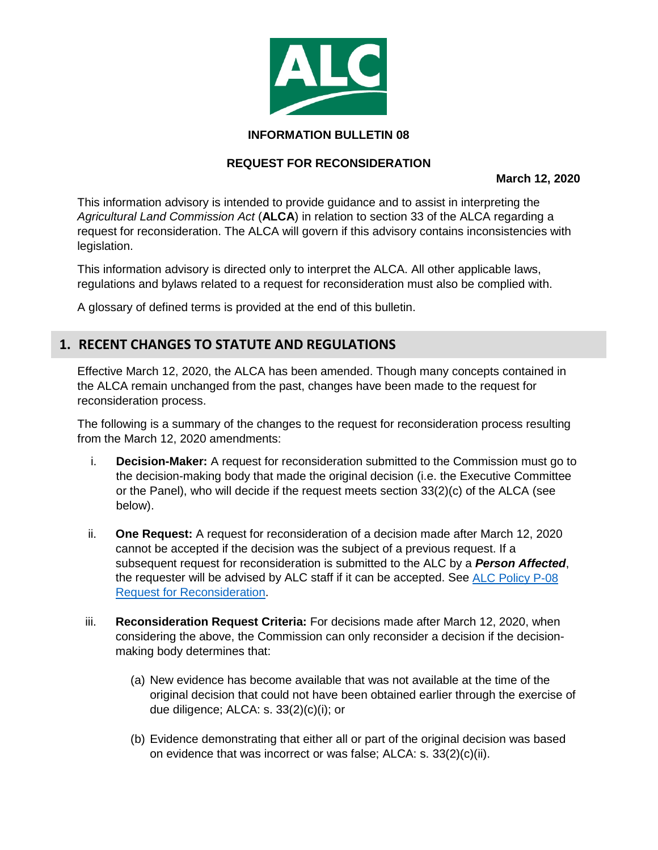

#### **INFORMATION BULLETIN 08**

#### **REQUEST FOR RECONSIDERATION**

**March 12, 2020**

This information advisory is intended to provide guidance and to assist in interpreting the *Agricultural Land Commission Act* (**ALCA**) in relation to section 33 of the ALCA regarding a request for reconsideration. The ALCA will govern if this advisory contains inconsistencies with legislation.

This information advisory is directed only to interpret the ALCA. All other applicable laws, regulations and bylaws related to a request for reconsideration must also be complied with.

A glossary of defined terms is provided at the end of this bulletin.

## **1. RECENT CHANGES TO STATUTE AND REGULATIONS**

Effective March 12, 2020, the ALCA has been amended. Though many concepts contained in the ALCA remain unchanged from the past, changes have been made to the request for reconsideration process.

The following is a summary of the changes to the request for reconsideration process resulting from the March 12, 2020 amendments:

- i. **Decision-Maker:** A request for reconsideration submitted to the Commission must go to the decision-making body that made the original decision (i.e. the Executive Committee or the Panel), who will decide if the request meets section  $33(2)(c)$  of the ALCA (see below).
- ii. **One Request:** A request for reconsideration of a decision made after March 12, 2020 cannot be accepted if the decision was the subject of a previous request. If a subsequent request for reconsideration is submitted to the ALC by a *Person Affected*, the requester will be advised by ALC staff if it can be accepted. See ALC Policy P-08 [Request for Reconsideration.](https://www.alc.gov.bc.ca/assets/alc/assets/legislation-and-regulation/policies/alc_-_policy_p-08_-_request_for_reconsideration.pdf)
- iii. **Reconsideration Request Criteria:** For decisions made after March 12, 2020, when considering the above, the Commission can only reconsider a decision if the decisionmaking body determines that:
	- (a) New evidence has become available that was not available at the time of the original decision that could not have been obtained earlier through the exercise of due diligence; ALCA: s. 33(2)(c)(i); or
	- (b) Evidence demonstrating that either all or part of the original decision was based on evidence that was incorrect or was false; ALCA: s. 33(2)(c)(ii).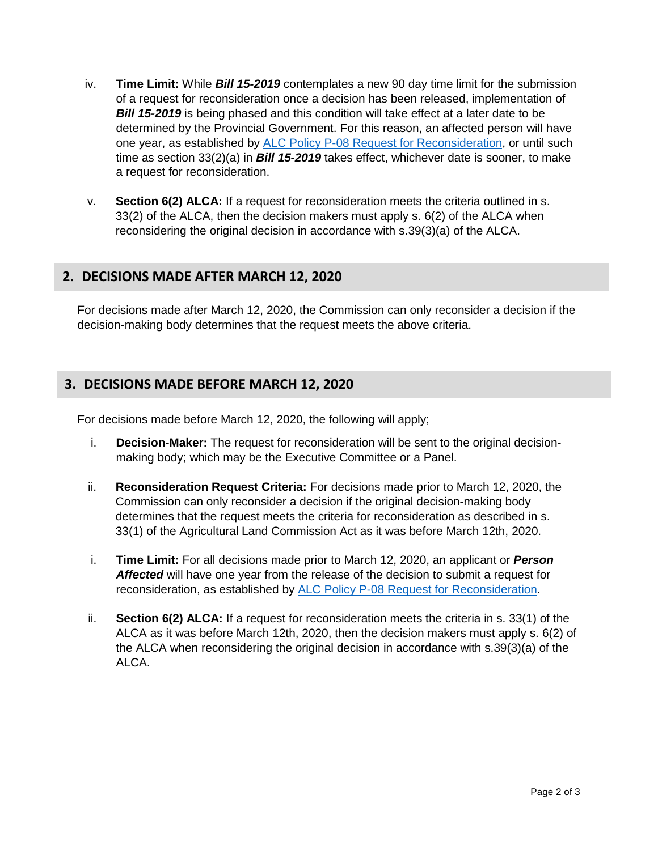- iv. **Time Limit:** While *Bill 15-2019* contemplates a new 90 day time limit for the submission of a request for reconsideration once a decision has been released, implementation of **Bill 15-2019** is being phased and this condition will take effect at a later date to be determined by the Provincial Government. For this reason, an affected person will have one year, as established by [ALC Policy P-08 Request for Reconsideration,](https://www.alc.gov.bc.ca/assets/alc/assets/legislation-and-regulation/policies/alc_-_policy_p-08_-_request_for_reconsideration.pdf) or until such time as section 33(2)(a) in *Bill 15-2019* takes effect, whichever date is sooner, to make a request for reconsideration.
- v. **Section 6(2) ALCA:** If a request for reconsideration meets the criteria outlined in s. 33(2) of the ALCA, then the decision makers must apply s. 6(2) of the ALCA when reconsidering the original decision in accordance with s.39(3)(a) of the ALCA.

## **2. DECISIONS MADE AFTER MARCH 12, 2020**

For decisions made after March 12, 2020, the Commission can only reconsider a decision if the decision-making body determines that the request meets the above criteria.

# **3. DECISIONS MADE BEFORE MARCH 12, 2020**

For decisions made before March 12, 2020, the following will apply;

- i. **Decision-Maker:** The request for reconsideration will be sent to the original decisionmaking body; which may be the Executive Committee or a Panel.
- ii. **Reconsideration Request Criteria:** For decisions made prior to March 12, 2020, the Commission can only reconsider a decision if the original decision-making body determines that the request meets the criteria for reconsideration as described in s. 33(1) of the Agricultural Land Commission Act as it was before March 12th, 2020.
- i. **Time Limit:** For all decisions made prior to March 12, 2020, an applicant or *Person Affected* will have one year from the release of the decision to submit a request for reconsideration, as established by [ALC Policy P-08 Request for Reconsideration.](https://www.alc.gov.bc.ca/assets/alc/assets/legislation-and-regulation/policies/alc_-_policy_p-08_-_request_for_reconsideration.pdf)
- ii. **Section 6(2) ALCA:** If a request for reconsideration meets the criteria in s. 33(1) of the ALCA as it was before March 12th, 2020, then the decision makers must apply s. 6(2) of the ALCA when reconsidering the original decision in accordance with s.39(3)(a) of the ALCA.